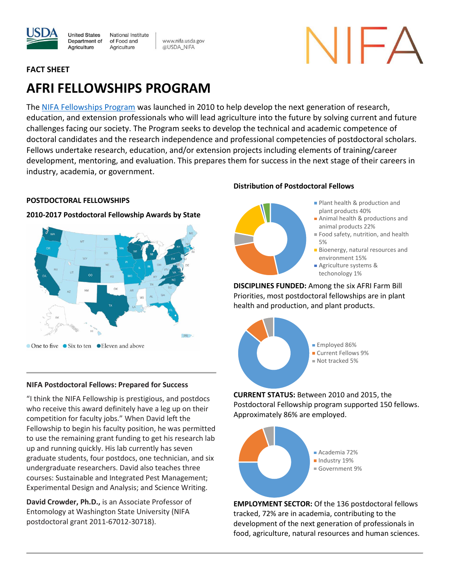

www.nifa.usda.gov @USDA\_NIFA

# **FACT SHEET**

# **AFRI FELLOWSHIPS PROGRAM**

The [NIFA Fellowships Program](https://nifa.usda.gov/program/afri-education-workforce-development) was launched in 2010 to help develop the next generation of research, education, and extension professionals who will lead agriculture into the future by solving current and future challenges facing our society. The Program seeks to develop the technical and academic competence of doctoral candidates and the research independence and professional competencies of postdoctoral scholars. Fellows undertake research, education, and/or extension projects including elements of training/career development, mentoring, and evaluation. This prepares them for success in the next stage of their careers in industry, academia, or government.

# **POSTDOCTORAL FELLOWSHIPS**

# **2010-2017 Postdoctoral Fellowship Awards by State**



# **NIFA Postdoctoral Fellows: Prepared for Success**

"I think the NIFA Fellowship is prestigious, and postdocs who receive this award definitely have a leg up on their competition for faculty jobs." When David left the Fellowship to begin his faculty position, he was permitted to use the remaining grant funding to get his research lab up and running quickly. His lab currently has seven graduate students, four postdocs, one technician, and six undergraduate researchers. David also teaches three courses: Sustainable and Integrated Pest Management; Experimental Design and Analysis; and Science Writing.

**David Crowder, Ph.D.,** is an Associate Professor of Entomology at Washington State University (NIFA postdoctoral grant 2011-67012-30718).

# **Distribution of Postdoctoral Fellows**



- **Plant health & production and** plant products 40%
- Animal health & productions and animal products 22%
- Food safety, nutrition, and health 5%
- **Bioenergy, natural resources and** environment 15%
- **Agriculture systems &** techonology 1%

**DISCIPLINES FUNDED:** Among the six AFRI Farm Bill Priorities, most postdoctoral fellowships are in plant health and production, and plant products.



**CURRENT STATUS:** Between 2010 and 2015, the Postdoctoral Fellowship program supported 150 fellows. Approximately 86% are employed.



**EMPLOYMENT SECTOR:** Of the 136 postdoctoral fellows tracked, 72% are in academia, contributing to the development of the next generation of professionals in food, agriculture, natural resources and human sciences.